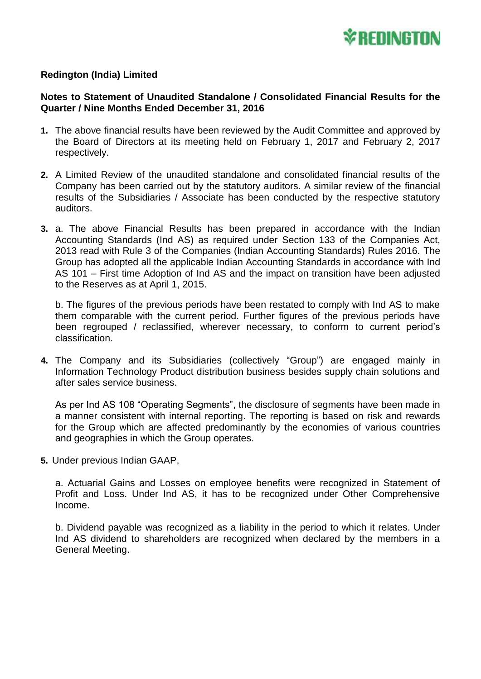

## **Redington (India) Limited**

## **Notes to Statement of Unaudited Standalone / Consolidated Financial Results for the Quarter / Nine Months Ended December 31, 2016**

- **1.** The above financial results have been reviewed by the Audit Committee and approved by the Board of Directors at its meeting held on February 1, 2017 and February 2, 2017 respectively.
- **2.** A Limited Review of the unaudited standalone and consolidated financial results of the Company has been carried out by the statutory auditors. A similar review of the financial results of the Subsidiaries / Associate has been conducted by the respective statutory auditors.
- **3.** a. The above Financial Results has been prepared in accordance with the Indian Accounting Standards (Ind AS) as required under Section 133 of the Companies Act, 2013 read with Rule 3 of the Companies (Indian Accounting Standards) Rules 2016. The Group has adopted all the applicable Indian Accounting Standards in accordance with Ind AS 101 – First time Adoption of Ind AS and the impact on transition have been adjusted to the Reserves as at April 1, 2015.

b. The figures of the previous periods have been restated to comply with Ind AS to make them comparable with the current period. Further figures of the previous periods have been regrouped / reclassified, wherever necessary, to conform to current period's classification.

**4.** The Company and its Subsidiaries (collectively "Group") are engaged mainly in Information Technology Product distribution business besides supply chain solutions and after sales service business.

As per Ind AS 108 "Operating Segments", the disclosure of segments have been made in a manner consistent with internal reporting. The reporting is based on risk and rewards for the Group which are affected predominantly by the economies of various countries and geographies in which the Group operates.

**5.** Under previous Indian GAAP,

a. Actuarial Gains and Losses on employee benefits were recognized in Statement of Profit and Loss. Under Ind AS, it has to be recognized under Other Comprehensive Income.

b. Dividend payable was recognized as a liability in the period to which it relates. Under Ind AS dividend to shareholders are recognized when declared by the members in a General Meeting.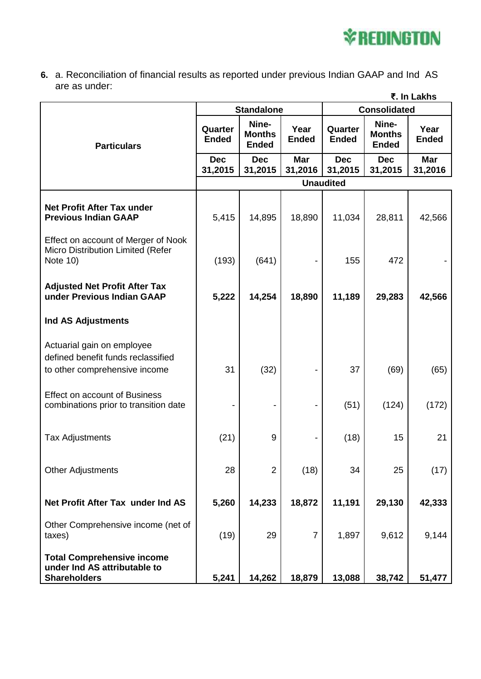

**6.** a. Reconciliation of financial results as reported under previous Indian GAAP and Ind AS are as under:

|                                                                                                   | ₹. In Lakhs             |                                        |                       |                         |                                        |                       |
|---------------------------------------------------------------------------------------------------|-------------------------|----------------------------------------|-----------------------|-------------------------|----------------------------------------|-----------------------|
|                                                                                                   | <b>Standalone</b>       |                                        |                       | <b>Consolidated</b>     |                                        |                       |
| <b>Particulars</b>                                                                                | Quarter<br><b>Ended</b> | Nine-<br><b>Months</b><br><b>Ended</b> | Year<br><b>Ended</b>  | Quarter<br><b>Ended</b> | Nine-<br><b>Months</b><br><b>Ended</b> | Year<br><b>Ended</b>  |
|                                                                                                   | <b>Dec</b><br>31,2015   | <b>Dec</b><br>31,2015                  | <b>Mar</b><br>31,2016 | <b>Dec</b><br>31,2015   | <b>Dec</b><br>31,2015                  | <b>Mar</b><br>31,2016 |
|                                                                                                   | <b>Unaudited</b>        |                                        |                       |                         |                                        |                       |
| <b>Net Profit After Tax under</b><br><b>Previous Indian GAAP</b>                                  | 5,415                   | 14,895                                 | 18,890                | 11,034                  | 28,811                                 | 42,566                |
| Effect on account of Merger of Nook<br>Micro Distribution Limited (Refer<br>Note 10)              | (193)                   | (641)                                  |                       | 155                     | 472                                    |                       |
| <b>Adjusted Net Profit After Tax</b><br>under Previous Indian GAAP                                | 5,222                   | 14,254                                 | 18,890                | 11,189                  | 29,283                                 | 42,566                |
| <b>Ind AS Adjustments</b>                                                                         |                         |                                        |                       |                         |                                        |                       |
| Actuarial gain on employee<br>defined benefit funds reclassified<br>to other comprehensive income | 31                      | (32)                                   |                       | 37                      | (69)                                   | (65)                  |
| Effect on account of Business<br>combinations prior to transition date                            |                         |                                        |                       | (51)                    | (124)                                  | (172)                 |
| <b>Tax Adjustments</b>                                                                            | (21)                    | 9                                      |                       | (18)                    | 15                                     | 21                    |
| <b>Other Adjustments</b>                                                                          | 28                      | $\overline{2}$                         | (18)                  | 34                      | 25                                     | (17)                  |
| Net Profit After Tax under Ind AS                                                                 | 5,260                   | 14,233                                 | 18,872                | 11,191                  | 29,130                                 | 42,333                |
| Other Comprehensive income (net of<br>taxes)                                                      | (19)                    | 29                                     | $\overline{7}$        | 1,897                   | 9,612                                  | 9,144                 |
| <b>Total Comprehensive income</b><br>under Ind AS attributable to<br><b>Shareholders</b>          | 5,241                   | 14,262                                 | 18,879                | 13,088                  | 38,742                                 | 51,477                |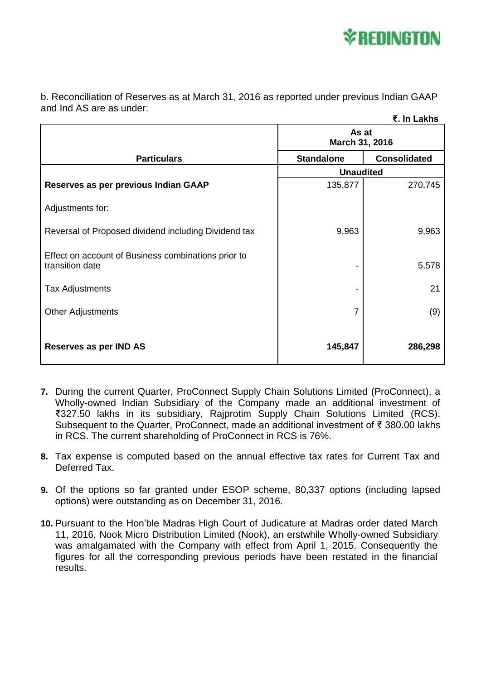

b. Reconciliation of Reserves as at March 31, 2016 as reported under previous Indian GAAP and Ind AS are as under:

|                                                                        |                         | ₹. In Lakhs         |  |
|------------------------------------------------------------------------|-------------------------|---------------------|--|
|                                                                        | As at<br>March 31, 2016 |                     |  |
| <b>Particulars</b>                                                     | <b>Standalone</b>       | <b>Consolidated</b> |  |
|                                                                        | <b>Unaudited</b>        |                     |  |
| Reserves as per previous Indian GAAP                                   | 135,877                 | 270,745             |  |
| Adjustments for:                                                       |                         |                     |  |
| Reversal of Proposed dividend including Dividend tax                   | 9,963                   | 9,963               |  |
| Effect on account of Business combinations prior to<br>transition date |                         | 5,578               |  |
| Tax Adjustments                                                        |                         | 21                  |  |
| <b>Other Adjustments</b>                                               | 7                       | (9)                 |  |
| Reserves as per IND AS                                                 | 145,847                 | 286,298             |  |

- **7.** During the current Quarter, ProConnect Supply Chain Solutions Limited (ProConnect), a Wholly-owned Indian Subsidiary of the Company made an additional investment of ₹327.50 lakhs in its subsidiary, Rajprotim Supply Chain Solutions Limited (RCS). Subsequent to the Quarter, ProConnect, made an additional investment of ₹ 380.00 lakhs in RCS. The current shareholding of ProConnect in RCS is 76%.
- **8.** Tax expense is computed based on the annual effective tax rates for Current Tax and Deferred Tax.
- **9.** Of the options so far granted under ESOP scheme, 80,337 options (including lapsed options) were outstanding as on December 31, 2016.
- **10.** Pursuant to the Hon'ble Madras High Court of Judicature at Madras order dated March 11, 2016, Nook Micro Distribution Limited (Nook), an erstwhile Wholly-owned Subsidiary was amalgamated with the Company with effect from April 1, 2015. Consequently the figures for all the corresponding previous periods have been restated in the financial results.